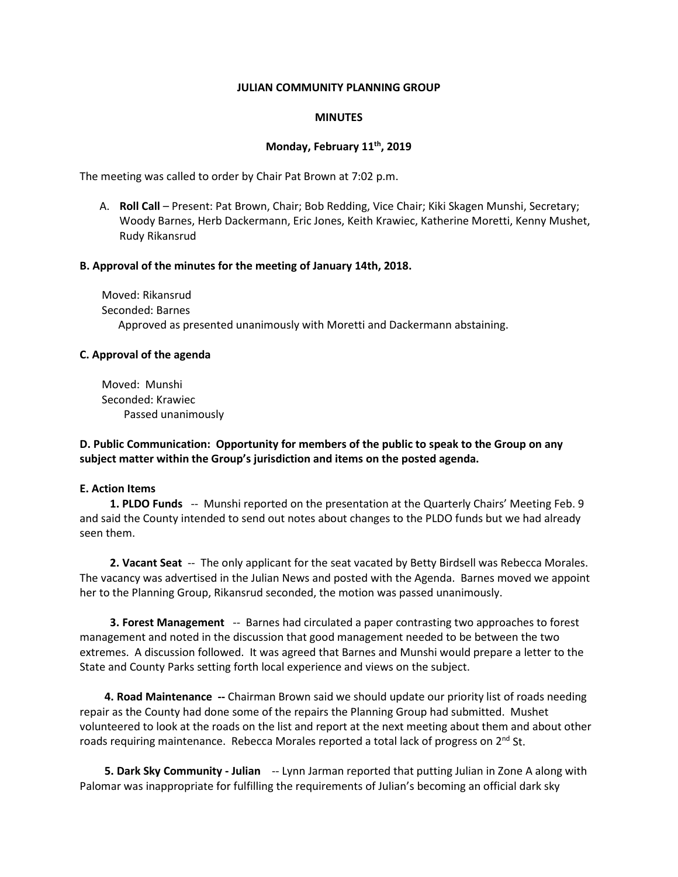#### **JULIAN COMMUNITY PLANNING GROUP**

#### **MINUTES**

# **Monday, February 11th, 2019**

The meeting was called to order by Chair Pat Brown at 7:02 p.m.

A. **Roll Call** – Present: Pat Brown, Chair; Bob Redding, Vice Chair; Kiki Skagen Munshi, Secretary; Woody Barnes, Herb Dackermann, Eric Jones, Keith Krawiec, Katherine Moretti, Kenny Mushet, Rudy Rikansrud

#### **B. Approval of the minutes for the meeting of January 14th, 2018.**

 Moved: Rikansrud Seconded: Barnes Approved as presented unanimously with Moretti and Dackermann abstaining.

#### **C. Approval of the agenda**

 Moved: Munshi Seconded: Krawiec Passed unanimously

**D. Public Communication: Opportunity for members of the public to speak to the Group on any subject matter within the Group's jurisdiction and items on the posted agenda.** 

#### **E. Action Items**

**1. PLDO Funds** -- Munshi reported on the presentation at the Quarterly Chairs' Meeting Feb. 9 and said the County intended to send out notes about changes to the PLDO funds but we had already seen them.

 **2. Vacant Seat** -- The only applicant for the seat vacated by Betty Birdsell was Rebecca Morales. The vacancy was advertised in the Julian News and posted with the Agenda. Barnes moved we appoint her to the Planning Group, Rikansrud seconded, the motion was passed unanimously.

**3. Forest Management** -- Barnes had circulated a paper contrasting two approaches to forest management and noted in the discussion that good management needed to be between the two extremes. A discussion followed. It was agreed that Barnes and Munshi would prepare a letter to the State and County Parks setting forth local experience and views on the subject.

 **4. Road Maintenance --** Chairman Brown said we should update our priority list of roads needing repair as the County had done some of the repairs the Planning Group had submitted. Mushet volunteered to look at the roads on the list and report at the next meeting about them and about other roads requiring maintenance. Rebecca Morales reported a total lack of progress on  $2<sup>nd</sup>$  St.

 **5. Dark Sky Community - Julian** -- Lynn Jarman reported that putting Julian in Zone A along with Palomar was inappropriate for fulfilling the requirements of Julian's becoming an official dark sky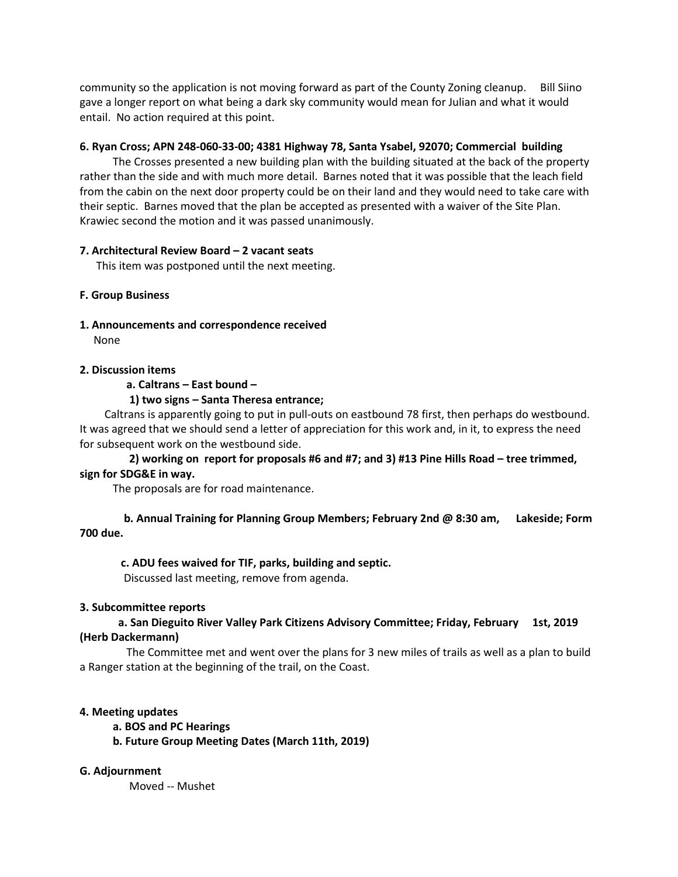community so the application is not moving forward as part of the County Zoning cleanup. Bill Siino gave a longer report on what being a dark sky community would mean for Julian and what it would entail. No action required at this point.

# **6. Ryan Cross; APN 248-060-33-00; 4381 Highway 78, Santa Ysabel, 92070; Commercial building**

The Crosses presented a new building plan with the building situated at the back of the property rather than the side and with much more detail. Barnes noted that it was possible that the leach field from the cabin on the next door property could be on their land and they would need to take care with their septic. Barnes moved that the plan be accepted as presented with a waiver of the Site Plan. Krawiec second the motion and it was passed unanimously.

# **7. Architectural Review Board – 2 vacant seats**

This item was postponed until the next meeting.

# **F. Group Business**

**1. Announcements and correspondence received** 

None

#### **2. Discussion items**

 **a. Caltrans – East bound –**

 **1) two signs – Santa Theresa entrance;** 

 Caltrans is apparently going to put in pull-outs on eastbound 78 first, then perhaps do westbound. It was agreed that we should send a letter of appreciation for this work and, in it, to express the need for subsequent work on the westbound side.

 **2) working on report for proposals #6 and #7; and 3) #13 Pine Hills Road – tree trimmed, sign for SDG&E in way.** 

The proposals are for road maintenance.

 **b. Annual Training for Planning Group Members; February 2nd @ 8:30 am, Lakeside; Form 700 due.** 

# **c. ADU fees waived for TIF, parks, building and septic.**

Discussed last meeting, remove from agenda.

#### **3. Subcommittee reports**

# **a. San Dieguito River Valley Park Citizens Advisory Committee; Friday, February 1st, 2019 (Herb Dackermann)**

 The Committee met and went over the plans for 3 new miles of trails as well as a plan to build a Ranger station at the beginning of the trail, on the Coast.

# **4. Meeting updates**

 **a. BOS and PC Hearings**

 **b. Future Group Meeting Dates (March 11th, 2019)** 

# **G. Adjournment**

Moved -- Mushet